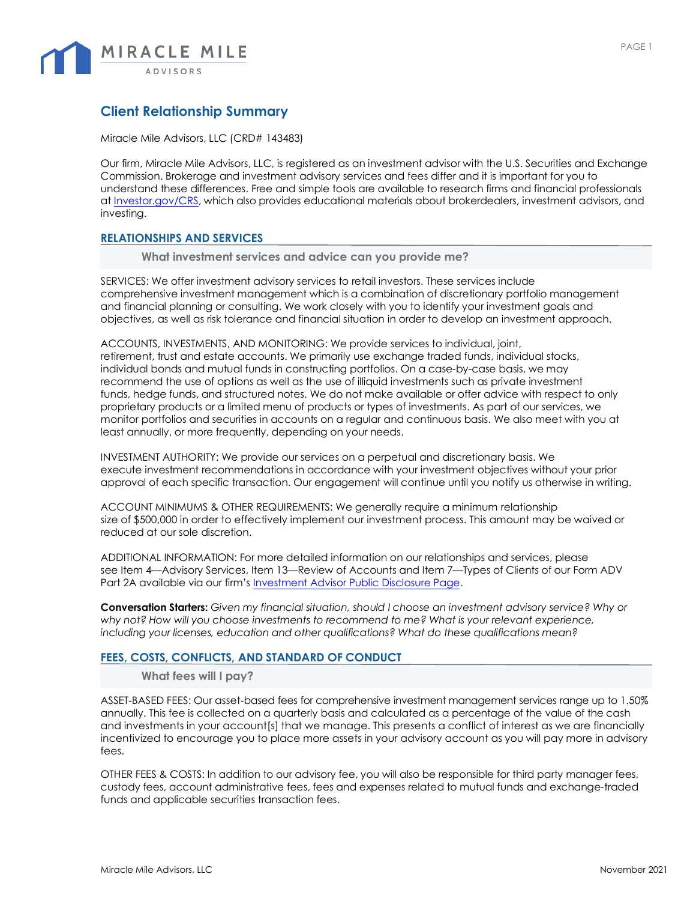

# **Client Relationship Summary**

Miracle Mile Advisors, LLC (CRD# 143483)

Our firm, Miracle Mile Advisors, LLC, is registered as an investment advisor with the U.S. Securities and Exchange Commission. Brokerage and investment advisory services and fees differ and it is important for you to understand these differences. Free and simple tools are available to research firms and financial professionals at [Investor.gov/CRS,](https://www.investor.gov/CRS) which also provides educational materials about brokerdealers, investment advisors, and investing.

#### **RELATIONSHIPS AND SERVICES**

**What investment services and advice can you provide me?**

SERVICES: We offer investment advisory services to retail investors. These services include comprehensive investment management which is a combination of discretionary portfolio management and financial planning or consulting. We work closely with you to identify your investment goals and objectives, as well as risk tolerance and financial situation in order to develop an investment approach.

ACCOUNTS, INVESTMENTS, AND MONITORING: We provide services to individual, joint, retirement, trust and estate accounts. We primarily use exchange traded funds, individual stocks, individual bonds and mutual funds in constructing portfolios. On a case-by-case basis, we may recommend the use of options as well as the use of illiquid investments such as private investment funds, hedge funds, and structured notes. We do not make available or offer advice with respect to only proprietary products or a limited menu of products or types of investments. As part of our services, we monitor portfolios and securities in accounts on a regular and continuous basis. We also meet with you at least annually, or more frequently, depending on your needs.

INVESTMENT AUTHORITY: We provide our services on a perpetual and discretionary basis. We execute investment recommendations in accordance with your investment objectives without your prior approval of each specific transaction. Our engagement will continue until you notify us otherwise in writing.

ACCOUNT MINIMUMS & OTHER REQUIREMENTS: We generally require a minimum relationship size of \$500,000 in order to effectively implement our investment process. This amount may be waived or reduced at our sole discretion.

ADDITIONAL INFORMATION: For more detailed information on our relationships and services, please see Item 4—Advisory Services, Item 13—Review of Accounts and Item 7—Types of Clients of our Form ADV Part 2A available via our firm's [Investment](https://adviserinfo.sec.gov/firm/summary/143483) Advisor Public Disclosure Page.

**Conversation Starters:** *Given my financial situation, should I choose an investment advisory service? Why or why not? How will you choose investments to recommend to me? What is your relevant experience, including your licenses, education and other qualifications? What do these qualifications mean?*

#### **FEES, COSTS, CONFLICTS, AND STANDARD OF CONDUCT**

**What fees will I pay?** 

ASSET-BASED FEES: Our asset-based fees for comprehensive investment management services range up to 1.50% annually. This fee is collected on a quarterly basis and calculated as a percentage of the value of the cash and investments in your account[s] that we manage. This presents a conflict of interest as we are financially incentivized to encourage you to place more assets in your advisory account as you will pay more in advisory fees.

OTHER FEES & COSTS: In addition to our advisory fee, you will also be responsible for third party manager fees, custody fees, account administrative fees, fees and expenses related to mutual funds and exchange-traded funds and applicable securities transaction fees.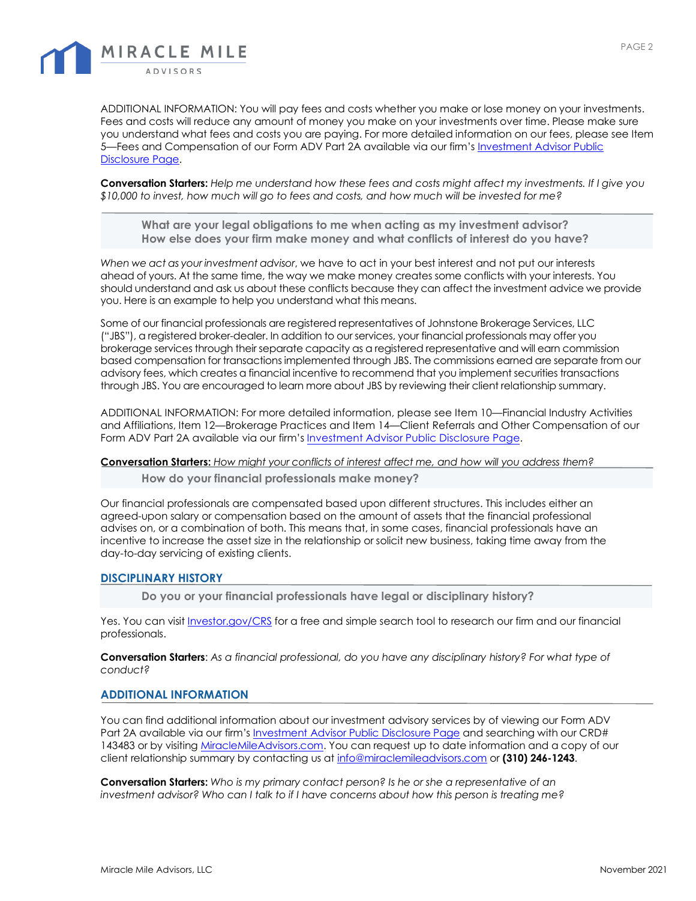

ADDITIONAL INFORMATION: You will pay fees and costs whether you make or lose money on your investments. Fees and costs will reduce any amount of money you make on your investments over time. Please make sure you understand what fees and costs you are paying. For more detailed information on our fees, please see Item 5—Fees and Compensation of our Form ADV Part 2A available via our firm's [Investment Advisor Public](https://adviserinfo.sec.gov/firm/summary/143483)  [Disclosure Page.](https://adviserinfo.sec.gov/firm/summary/143483) 

**Conversation Starters:** *Help me understand how these fees and costs might affect my investments. If I give you \$10,000 to invest, how much will go to fees and costs, and how much will be invested for me?*

**What are your legal obligations to me when acting as my investment advisor? How else does your firm make money and what conflicts of interest do you have?** 

*When we act as your investment advisor*, we have to act in your best interest and not put our interests ahead of yours. At the same time, the way we make money creates some conflicts with your interests. You should understand and ask us about these conflicts because they can affect the investment advice we provide you. Here is an example to help you understand what this means.

Some of our financial professionals are registered representatives of Johnstone Brokerage Services, LLC ("JBS"), a registered broker-dealer. In addition to our services, your financial professionals may offer you brokerage services through their separate capacity as a registered representative and will earn commission based compensation for transactions implemented through JBS. The commissions earned are separate from our advisory fees, which creates a financial incentive to recommend that you implement securities transactions through JBS. You are encouraged to learn more about JBS by reviewing their client relationship summary.

ADDITIONAL INFORMATION: For more detailed information, please see Item 10—Financial Industry Activities and Affiliations, Item 12—Brokerage Practices and Item [14—Client Referrals](https://adviserinfo.sec.gov/firm/summary/143483) and Other Compensation of our Form ADV Part 2A available via our firm's Investment Advisor Public Disclosure Page.

#### **Conversation Starters:** *How might your conflicts of interest affect me, and how will you address them?*

**How do your financial professionals make money?** 

Our financial professionals are compensated based upon different structures. This includes either an agreed-upon salary or compensation based on the amount of assets that the financial professional advises on, or a combination of both. This means that, in some cases, financial professionals have an incentive to increase the asset size in the relationship or solicit new business, taking time away from the day-to-day servicing of existing clients.

#### **DISCIPLINARY HISTORY**

**Do you or your financial professionals have legal or disciplinary history?** 

Yes. You can visit [Investor.gov/CRS](https://www.investor.gov/CRS) for a free and simple search tool to research our firm and our financial professionals.

**Conversation Starters**: *As a financial professional, do you have any disciplinary history? For what type of conduct?*

#### **ADDITIONAL INFORMATION**

You can find additional information about our investment advisory services by of viewing our Form ADV Part 2A available via our firm'[s Investment Advisor Public Disclosure Page](https://adviserinfo.sec.gov/firm/summary/143483) and searching with our CRD# 143483 or by visitin[g MiracleMileAdvisors.com.](https://miraclemileadvisors.com/) You can request up to date information and a copy of our client relationship summary by contacting us a[t info@miraclemileadvisors.com](mailto:info@miraclemileadvisors.com) or **(310) 246-1243**.

**Conversation Starters:** *Who is my primary contact person? Is he or she a representative of an investment advisor? Who can I talk to if I have concerns about how this person is treating me?*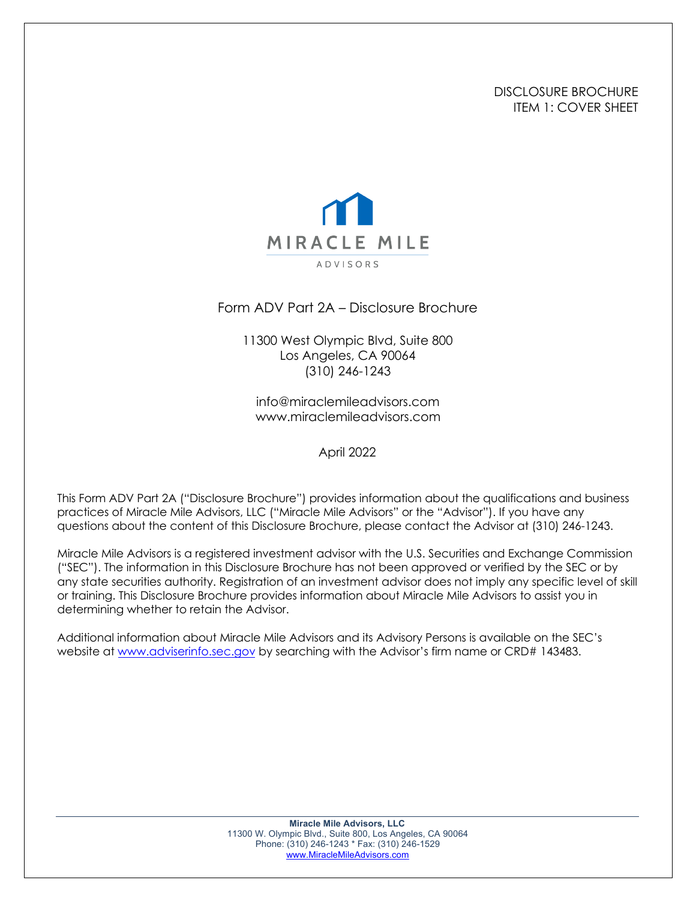## DISCLOSURE BROCHURE ITEM 1: COVER SHEET



Form ADV Part 2A – Disclosure Brochure

11300 West Olympic Blvd, Suite 800 Los Angeles, CA 90064 (310) 246-1243

info@miraclemileadvisors.com www.miraclemileadvisors.com

April 2022

This Form ADV Part 2A ("Disclosure Brochure") provides information about the qualifications and business practices of Miracle Mile Advisors, LLC ("Miracle Mile Advisors" or the "Advisor"). If you have any questions about the content of this Disclosure Brochure, please contact the Advisor at (310) 246-1243.

Miracle Mile Advisors is a registered investment advisor with the U.S. Securities and Exchange Commission ("SEC"). The information in this Disclosure Brochure has not been approved or verified by the SEC or by any state securities authority. Registration of an investment advisor does not imply any specific level of skill or training. This Disclosure Brochure provides information about Miracle Mile Advisors to assist you in determining whether to retain the Advisor.

Additional information about Miracle Mile Advisors and its Advisory Persons is available on the SEC's website at www.adviserinfo.sec.gov by searching with the Advisor's firm name or CRD# 143483.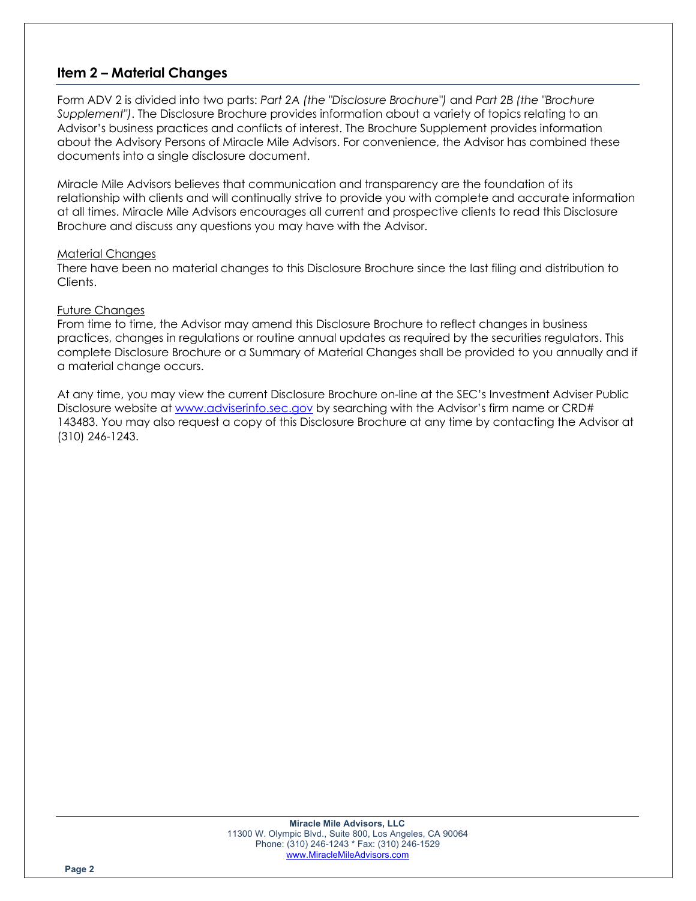# **Item 2 – Material Changes**

Form ADV 2 is divided into two parts: *Part 2A (the "Disclosure Brochure")* and *Part 2B (the "Brochure Supplement")*. The Disclosure Brochure provides information about a variety of topics relating to an Advisor's business practices and conflicts of interest. The Brochure Supplement provides information about the Advisory Persons of Miracle Mile Advisors. For convenience, the Advisor has combined these documents into a single disclosure document.

Miracle Mile Advisors believes that communication and transparency are the foundation of its relationship with clients and will continually strive to provide you with complete and accurate information at all times. Miracle Mile Advisors encourages all current and prospective clients to read this Disclosure Brochure and discuss any questions you may have with the Advisor.

#### Material Changes

There have been no material changes to this Disclosure Brochure since the last filing and distribution to Clients.

## Future Changes

From time to time, the Advisor may amend this Disclosure Brochure to reflect changes in business practices, changes in regulations or routine annual updates as required by the securities regulators. This complete Disclosure Brochure or a Summary of Material Changes shall be provided to you annually and if a material change occurs.

At any time, you may view the current Disclosure Brochure on-line at the SEC's Investment Adviser Public Disclosure website at www.adviserinfo.sec.gov by searching with the Advisor's firm name or CRD# 143483. You may also request a copy of this Disclosure Brochure at any time by contacting the Advisor at (310) 246-1243.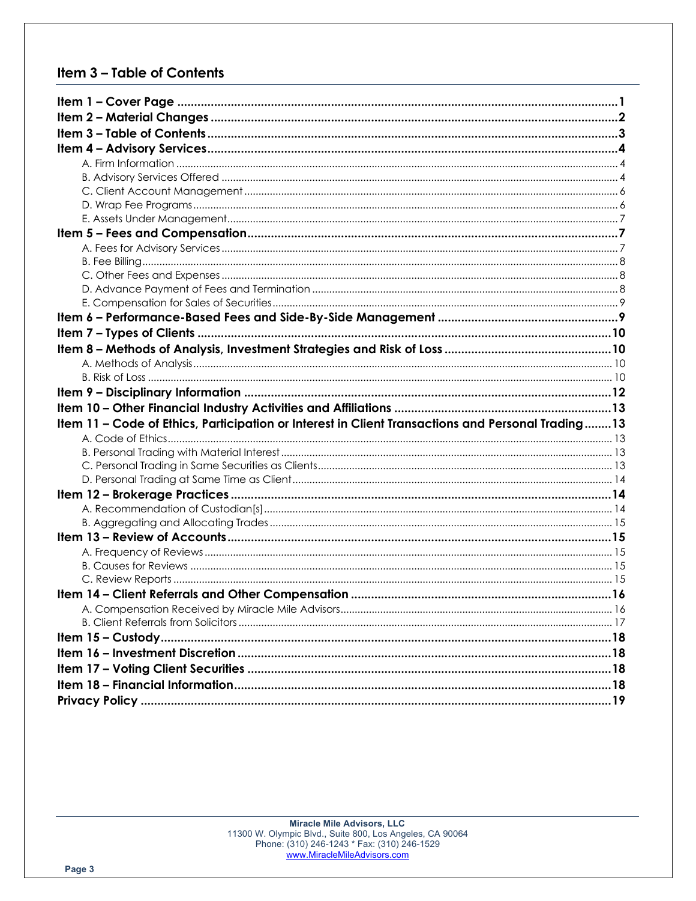# Item 3 - Table of Contents

| Item 11 - Code of Ethics, Participation or Interest in Client Transactions and Personal Trading13 |  |
|---------------------------------------------------------------------------------------------------|--|
|                                                                                                   |  |
|                                                                                                   |  |
|                                                                                                   |  |
|                                                                                                   |  |
|                                                                                                   |  |
|                                                                                                   |  |
|                                                                                                   |  |
|                                                                                                   |  |
|                                                                                                   |  |
|                                                                                                   |  |
|                                                                                                   |  |
|                                                                                                   |  |
|                                                                                                   |  |
|                                                                                                   |  |
|                                                                                                   |  |
|                                                                                                   |  |
|                                                                                                   |  |
|                                                                                                   |  |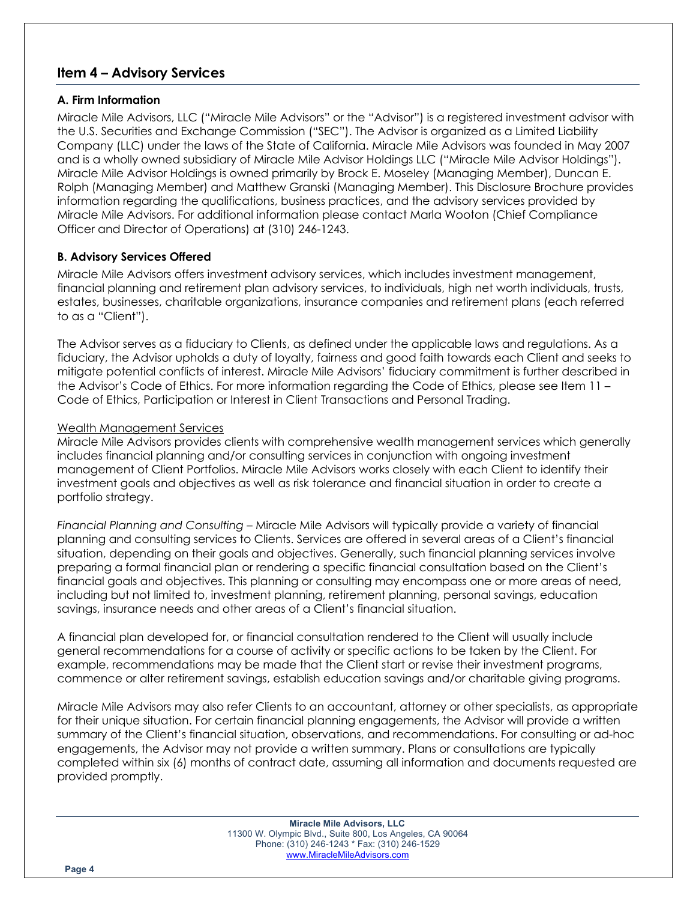# **Item 4 – Advisory Services**

## **A. Firm Information**

Miracle Mile Advisors, LLC ("Miracle Mile Advisors" or the "Advisor") is a registered investment advisor with the U.S. Securities and Exchange Commission ("SEC"). The Advisor is organized as a Limited Liability Company (LLC) under the laws of the State of California. Miracle Mile Advisors was founded in May 2007 and is a wholly owned subsidiary of Miracle Mile Advisor Holdings LLC ("Miracle Mile Advisor Holdings"). Miracle Mile Advisor Holdings is owned primarily by Brock E. Moseley (Managing Member), Duncan E. Rolph (Managing Member) and Matthew Granski (Managing Member). This Disclosure Brochure provides information regarding the qualifications, business practices, and the advisory services provided by Miracle Mile Advisors. For additional information please contact Marla Wooton (Chief Compliance Officer and Director of Operations) at (310) 246-1243.

## **B. Advisory Services Offered**

Miracle Mile Advisors offers investment advisory services, which includes investment management, financial planning and retirement plan advisory services, to individuals, high net worth individuals, trusts, estates, businesses, charitable organizations, insurance companies and retirement plans (each referred to as a "Client").

The Advisor serves as a fiduciary to Clients, as defined under the applicable laws and regulations. As a fiduciary, the Advisor upholds a duty of loyalty, fairness and good faith towards each Client and seeks to mitigate potential conflicts of interest. Miracle Mile Advisors' fiduciary commitment is further described in the Advisor's Code of Ethics. For more information regarding the Code of Ethics, please see Item 11 – Code of Ethics, Participation or Interest in Client Transactions and Personal Trading.

## Wealth Management Services

Miracle Mile Advisors provides clients with comprehensive wealth management services which generally includes financial planning and/or consulting services in conjunction with ongoing investment management of Client Portfolios. Miracle Mile Advisors works closely with each Client to identify their investment goals and objectives as well as risk tolerance and financial situation in order to create a portfolio strategy.

*Financial Planning and Consulting –* Miracle Mile Advisors will typically provide a variety of financial planning and consulting services to Clients. Services are offered in several areas of a Client's financial situation, depending on their goals and objectives. Generally, such financial planning services involve preparing a formal financial plan or rendering a specific financial consultation based on the Client's financial goals and objectives. This planning or consulting may encompass one or more areas of need, including but not limited to, investment planning, retirement planning, personal savings, education savings, insurance needs and other areas of a Client's financial situation.

A financial plan developed for, or financial consultation rendered to the Client will usually include general recommendations for a course of activity or specific actions to be taken by the Client. For example, recommendations may be made that the Client start or revise their investment programs, commence or alter retirement savings, establish education savings and/or charitable giving programs.

Miracle Mile Advisors may also refer Clients to an accountant, attorney or other specialists, as appropriate for their unique situation. For certain financial planning engagements, the Advisor will provide a written summary of the Client's financial situation, observations, and recommendations. For consulting or ad-hoc engagements, the Advisor may not provide a written summary. Plans or consultations are typically completed within six (6) months of contract date, assuming all information and documents requested are provided promptly.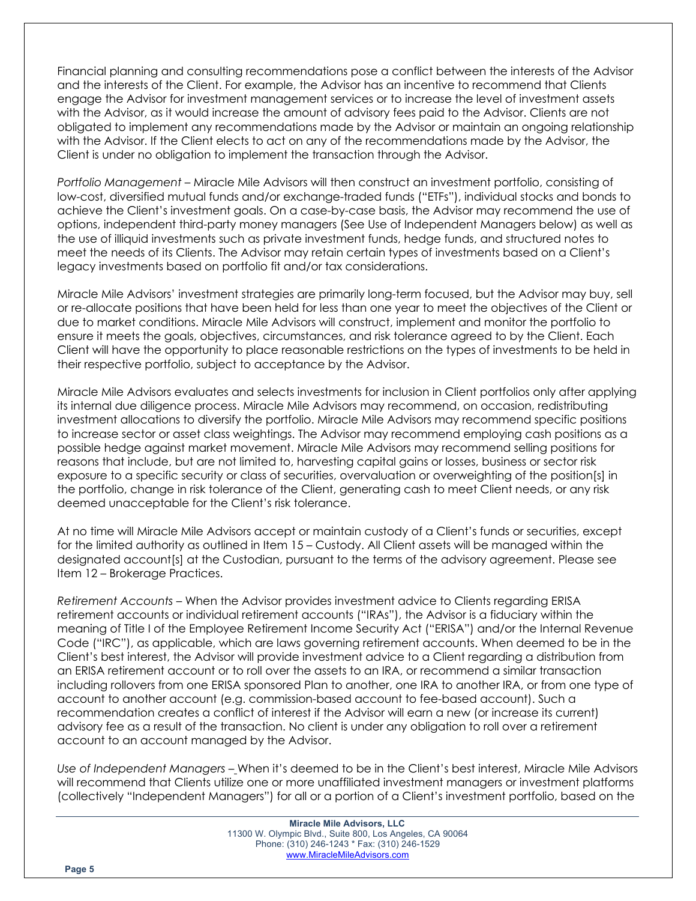Financial planning and consulting recommendations pose a conflict between the interests of the Advisor and the interests of the Client. For example, the Advisor has an incentive to recommend that Clients engage the Advisor for investment management services or to increase the level of investment assets with the Advisor, as it would increase the amount of advisory fees paid to the Advisor. Clients are not obligated to implement any recommendations made by the Advisor or maintain an ongoing relationship with the Advisor. If the Client elects to act on any of the recommendations made by the Advisor, the Client is under no obligation to implement the transaction through the Advisor.

*Portfolio Management –* Miracle Mile Advisors will then construct an investment portfolio, consisting of low-cost, diversified mutual funds and/or exchange-traded funds ("ETFs"), individual stocks and bonds to achieve the Client's investment goals. On a case-by-case basis, the Advisor may recommend the use of options, independent third-party money managers (See Use of Independent Managers below) as well as the use of illiquid investments such as private investment funds, hedge funds, and structured notes to meet the needs of its Clients. The Advisor may retain certain types of investments based on a Client's legacy investments based on portfolio fit and/or tax considerations.

Miracle Mile Advisors' investment strategies are primarily long-term focused, but the Advisor may buy, sell or re-allocate positions that have been held for less than one year to meet the objectives of the Client or due to market conditions. Miracle Mile Advisors will construct, implement and monitor the portfolio to ensure it meets the goals, objectives, circumstances, and risk tolerance agreed to by the Client. Each Client will have the opportunity to place reasonable restrictions on the types of investments to be held in their respective portfolio, subject to acceptance by the Advisor.

Miracle Mile Advisors evaluates and selects investments for inclusion in Client portfolios only after applying its internal due diligence process. Miracle Mile Advisors may recommend, on occasion, redistributing investment allocations to diversify the portfolio. Miracle Mile Advisors may recommend specific positions to increase sector or asset class weightings. The Advisor may recommend employing cash positions as a possible hedge against market movement. Miracle Mile Advisors may recommend selling positions for reasons that include, but are not limited to, harvesting capital gains or losses, business or sector risk exposure to a specific security or class of securities, overvaluation or overweighting of the position[s] in the portfolio, change in risk tolerance of the Client, generating cash to meet Client needs, or any risk deemed unacceptable for the Client's risk tolerance.

At no time will Miracle Mile Advisors accept or maintain custody of a Client's funds or securities, except for the limited authority as outlined in Item 15 – Custody. All Client assets will be managed within the designated account[s] at the Custodian, pursuant to the terms of the advisory agreement. Please see Item 12 – Brokerage Practices.

*Retirement Accounts* – When the Advisor provides investment advice to Clients regarding ERISA retirement accounts or individual retirement accounts ("IRAs"), the Advisor is a fiduciary within the meaning of Title I of the Employee Retirement Income Security Act ("ERISA") and/or the Internal Revenue Code ("IRC"), as applicable, which are laws governing retirement accounts. When deemed to be in the Client's best interest, the Advisor will provide investment advice to a Client regarding a distribution from an ERISA retirement account or to roll over the assets to an IRA, or recommend a similar transaction including rollovers from one ERISA sponsored Plan to another, one IRA to another IRA, or from one type of account to another account (e.g. commission-based account to fee-based account). Such a recommendation creates a conflict of interest if the Advisor will earn a new (or increase its current) advisory fee as a result of the transaction. No client is under any obligation to roll over a retirement account to an account managed by the Advisor.

*Use of Independent Managers –* When it's deemed to be in the Client's best interest, Miracle Mile Advisors will recommend that Clients utilize one or more unaffiliated investment managers or investment platforms (collectively "Independent Managers") for all or a portion of a Client's investment portfolio, based on the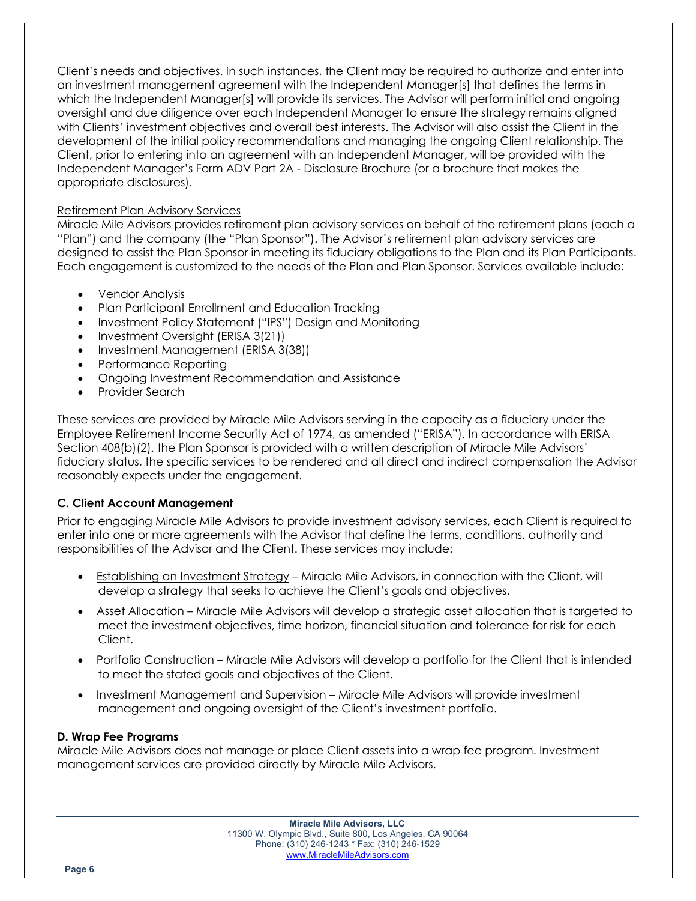Client's needs and objectives. In such instances, the Client may be required to authorize and enter into an investment management agreement with the Independent Manager[s] that defines the terms in which the Independent Manager[s] will provide its services. The Advisor will perform initial and ongoing oversight and due diligence over each Independent Manager to ensure the strategy remains aligned with Clients' investment objectives and overall best interests. The Advisor will also assist the Client in the development of the initial policy recommendations and managing the ongoing Client relationship. The Client, prior to entering into an agreement with an Independent Manager, will be provided with the Independent Manager's Form ADV Part 2A - Disclosure Brochure (or a brochure that makes the appropriate disclosures).

## Retirement Plan Advisory Services

Miracle Mile Advisors provides retirement plan advisory services on behalf of the retirement plans (each a "Plan") and the company (the "Plan Sponsor"). The Advisor's retirement plan advisory services are designed to assist the Plan Sponsor in meeting its fiduciary obligations to the Plan and its Plan Participants. Each engagement is customized to the needs of the Plan and Plan Sponsor. Services available include:

- Vendor Analysis
- Plan Participant Enrollment and Education Tracking
- Investment Policy Statement ("IPS") Design and Monitoring
- Investment Oversight (ERISA 3(21))
- Investment Management (ERISA 3(38))
- Performance Reporting
- Ongoing Investment Recommendation and Assistance
- Provider Search

These services are provided by Miracle Mile Advisors serving in the capacity as a fiduciary under the Employee Retirement Income Security Act of 1974, as amended ("ERISA"). In accordance with ERISA Section 408(b)(2), the Plan Sponsor is provided with a written description of Miracle Mile Advisors' fiduciary status, the specific services to be rendered and all direct and indirect compensation the Advisor reasonably expects under the engagement.

## **C. Client Account Management**

Prior to engaging Miracle Mile Advisors to provide investment advisory services, each Client is required to enter into one or more agreements with the Advisor that define the terms, conditions, authority and responsibilities of the Advisor and the Client. These services may include:

- Establishing an Investment Strategy Miracle Mile Advisors, in connection with the Client, will develop a strategy that seeks to achieve the Client's goals and objectives.
- Asset Allocation Miracle Mile Advisors will develop a strategic asset allocation that is targeted to meet the investment objectives, time horizon, financial situation and tolerance for risk for each Client.
- Portfolio Construction Miracle Mile Advisors will develop a portfolio for the Client that is intended to meet the stated goals and objectives of the Client.
- Investment Management and Supervision Miracle Mile Advisors will provide investment management and ongoing oversight of the Client's investment portfolio.

#### **D. Wrap Fee Programs**

Miracle Mile Advisors does not manage or place Client assets into a wrap fee program. Investment management services are provided directly by Miracle Mile Advisors.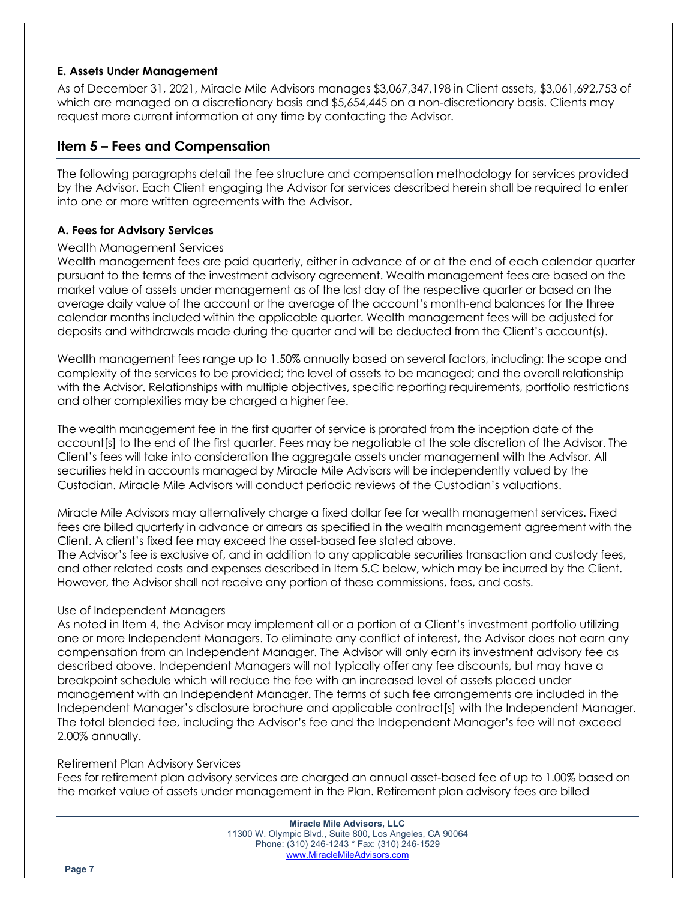## **E. Assets Under Management**

As of December 31, 2021, Miracle Mile Advisors manages \$3,067,347,198 in Client assets, \$3,061,692,753 of which are managed on a discretionary basis and \$5,654,445 on a non-discretionary basis. Clients may request more current information at any time by contacting the Advisor.

## **Item 5 – Fees and Compensation**

The following paragraphs detail the fee structure and compensation methodology for services provided by the Advisor. Each Client engaging the Advisor for services described herein shall be required to enter into one or more written agreements with the Advisor.

## **A. Fees for Advisory Services**

## Wealth Management Services

Wealth management fees are paid quarterly, either in advance of or at the end of each calendar quarter pursuant to the terms of the investment advisory agreement. Wealth management fees are based on the market value of assets under management as of the last day of the respective quarter or based on the average daily value of the account or the average of the account's month-end balances for the three calendar months included within the applicable quarter. Wealth management fees will be adjusted for deposits and withdrawals made during the quarter and will be deducted from the Client's account(s).

Wealth management fees range up to 1.50% annually based on several factors, including: the scope and complexity of the services to be provided; the level of assets to be managed; and the overall relationship with the Advisor. Relationships with multiple objectives, specific reporting requirements, portfolio restrictions and other complexities may be charged a higher fee.

The wealth management fee in the first quarter of service is prorated from the inception date of the account[s] to the end of the first quarter. Fees may be negotiable at the sole discretion of the Advisor. The Client's fees will take into consideration the aggregate assets under management with the Advisor. All securities held in accounts managed by Miracle Mile Advisors will be independently valued by the Custodian. Miracle Mile Advisors will conduct periodic reviews of the Custodian's valuations.

Miracle Mile Advisors may alternatively charge a fixed dollar fee for wealth management services. Fixed fees are billed quarterly in advance or arrears as specified in the wealth management agreement with the Client. A client's fixed fee may exceed the asset-based fee stated above.

The Advisor's fee is exclusive of, and in addition to any applicable securities transaction and custody fees, and other related costs and expenses described in Item 5.C below, which may be incurred by the Client. However, the Advisor shall not receive any portion of these commissions, fees, and costs.

## Use of Independent Managers

As noted in Item 4, the Advisor may implement all or a portion of a Client's investment portfolio utilizing one or more Independent Managers. To eliminate any conflict of interest, the Advisor does not earn any compensation from an Independent Manager. The Advisor will only earn its investment advisory fee as described above. Independent Managers will not typically offer any fee discounts, but may have a breakpoint schedule which will reduce the fee with an increased level of assets placed under management with an Independent Manager. The terms of such fee arrangements are included in the Independent Manager's disclosure brochure and applicable contract[s] with the Independent Manager. The total blended fee, including the Advisor's fee and the Independent Manager's fee will not exceed 2.00% annually.

## Retirement Plan Advisory Services

Fees for retirement plan advisory services are charged an annual asset-based fee of up to 1.00% based on the market value of assets under management in the Plan. Retirement plan advisory fees are billed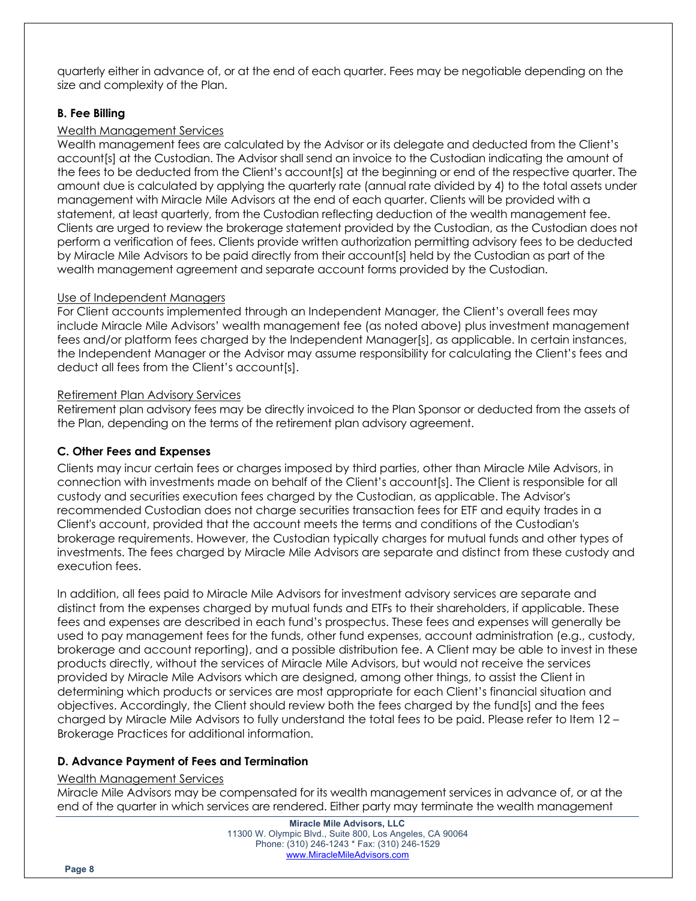quarterly either in advance of, or at the end of each quarter. Fees may be negotiable depending on the size and complexity of the Plan.

## **B. Fee Billing**

## Wealth Management Services

Wealth management fees are calculated by the Advisor or its delegate and deducted from the Client's account[s] at the Custodian. The Advisor shall send an invoice to the Custodian indicating the amount of the fees to be deducted from the Client's account[s] at the beginning or end of the respective quarter. The amount due is calculated by applying the quarterly rate (annual rate divided by 4) to the total assets under management with Miracle Mile Advisors at the end of each quarter. Clients will be provided with a statement, at least quarterly, from the Custodian reflecting deduction of the wealth management fee. Clients are urged to review the brokerage statement provided by the Custodian, as the Custodian does not perform a verification of fees. Clients provide written authorization permitting advisory fees to be deducted by Miracle Mile Advisors to be paid directly from their account[s] held by the Custodian as part of the wealth management agreement and separate account forms provided by the Custodian.

## Use of Independent Managers

For Client accounts implemented through an Independent Manager, the Client's overall fees may include Miracle Mile Advisors' wealth management fee (as noted above) plus investment management fees and/or platform fees charged by the Independent Manager[s], as applicable. In certain instances, the Independent Manager or the Advisor may assume responsibility for calculating the Client's fees and deduct all fees from the Client's account[s].

## Retirement Plan Advisory Services

Retirement plan advisory fees may be directly invoiced to the Plan Sponsor or deducted from the assets of the Plan, depending on the terms of the retirement plan advisory agreement.

## **C. Other Fees and Expenses**

Clients may incur certain fees or charges imposed by third parties, other than Miracle Mile Advisors, in connection with investments made on behalf of the Client's account[s]. The Client is responsible for all custody and securities execution fees charged by the Custodian, as applicable. The Advisor's recommended Custodian does not charge securities transaction fees for ETF and equity trades in a Client's account, provided that the account meets the terms and conditions of the Custodian's brokerage requirements. However, the Custodian typically charges for mutual funds and other types of investments. The fees charged by Miracle Mile Advisors are separate and distinct from these custody and execution fees.

In addition, all fees paid to Miracle Mile Advisors for investment advisory services are separate and distinct from the expenses charged by mutual funds and ETFs to their shareholders, if applicable. These fees and expenses are described in each fund's prospectus. These fees and expenses will generally be used to pay management fees for the funds, other fund expenses, account administration (e.g., custody, brokerage and account reporting), and a possible distribution fee. A Client may be able to invest in these products directly, without the services of Miracle Mile Advisors, but would not receive the services provided by Miracle Mile Advisors which are designed, among other things, to assist the Client in determining which products or services are most appropriate for each Client's financial situation and objectives. Accordingly, the Client should review both the fees charged by the fund[s] and the fees charged by Miracle Mile Advisors to fully understand the total fees to be paid. Please refer to Item 12 – Brokerage Practices for additional information.

## **D. Advance Payment of Fees and Termination**

#### Wealth Management Services

Miracle Mile Advisors may be compensated for its wealth management services in advance of, or at the end of the quarter in which services are rendered. Either party may terminate the wealth management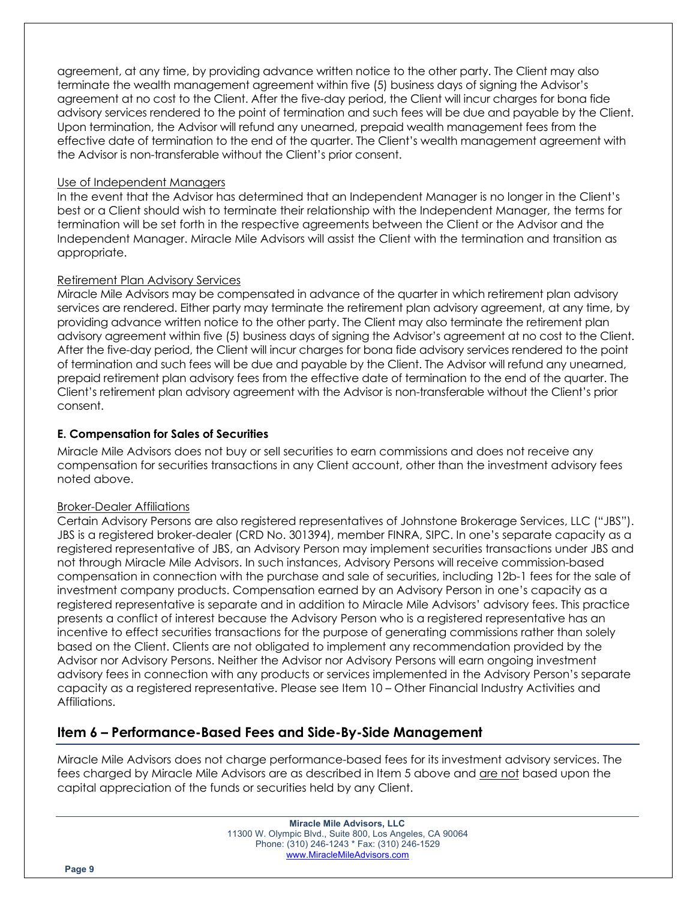agreement, at any time, by providing advance written notice to the other party. The Client may also terminate the wealth management agreement within five (5) business days of signing the Advisor's agreement at no cost to the Client. After the five-day period, the Client will incur charges for bona fide advisory services rendered to the point of termination and such fees will be due and payable by the Client. Upon termination, the Advisor will refund any unearned, prepaid wealth management fees from the effective date of termination to the end of the quarter. The Client's wealth management agreement with the Advisor is non-transferable without the Client's prior consent.

## Use of Independent Managers

In the event that the Advisor has determined that an Independent Manager is no longer in the Client's best or a Client should wish to terminate their relationship with the Independent Manager, the terms for termination will be set forth in the respective agreements between the Client or the Advisor and the Independent Manager. Miracle Mile Advisors will assist the Client with the termination and transition as appropriate.

## Retirement Plan Advisory Services

Miracle Mile Advisors may be compensated in advance of the quarter in which retirement plan advisory services are rendered. Either party may terminate the retirement plan advisory agreement, at any time, by providing advance written notice to the other party. The Client may also terminate the retirement plan advisory agreement within five (5) business days of signing the Advisor's agreement at no cost to the Client. After the five-day period, the Client will incur charges for bona fide advisory services rendered to the point of termination and such fees will be due and payable by the Client. The Advisor will refund any unearned, prepaid retirement plan advisory fees from the effective date of termination to the end of the quarter. The Client's retirement plan advisory agreement with the Advisor is non-transferable without the Client's prior consent.

## **E. Compensation for Sales of Securities**

Miracle Mile Advisors does not buy or sell securities to earn commissions and does not receive any compensation for securities transactions in any Client account, other than the investment advisory fees noted above.

## Broker-Dealer Affiliations

Certain Advisory Persons are also registered representatives of Johnstone Brokerage Services, LLC ("JBS"). JBS is a registered broker-dealer (CRD No. 301394), member FINRA, SIPC. In one's separate capacity as a registered representative of JBS, an Advisory Person may implement securities transactions under JBS and not through Miracle Mile Advisors. In such instances, Advisory Persons will receive commission-based compensation in connection with the purchase and sale of securities, including 12b-1 fees for the sale of investment company products. Compensation earned by an Advisory Person in one's capacity as a registered representative is separate and in addition to Miracle Mile Advisors' advisory fees. This practice presents a conflict of interest because the Advisory Person who is a registered representative has an incentive to effect securities transactions for the purpose of generating commissions rather than solely based on the Client. Clients are not obligated to implement any recommendation provided by the Advisor nor Advisory Persons. Neither the Advisor nor Advisory Persons will earn ongoing investment advisory fees in connection with any products or services implemented in the Advisory Person's separate capacity as a registered representative. Please see Item 10 – Other Financial Industry Activities and Affiliations.

## **Item 6 – Performance-Based Fees and Side-By-Side Management**

Miracle Mile Advisors does not charge performance-based fees for its investment advisory services. The fees charged by Miracle Mile Advisors are as described in Item 5 above and are not based upon the capital appreciation of the funds or securities held by any Client.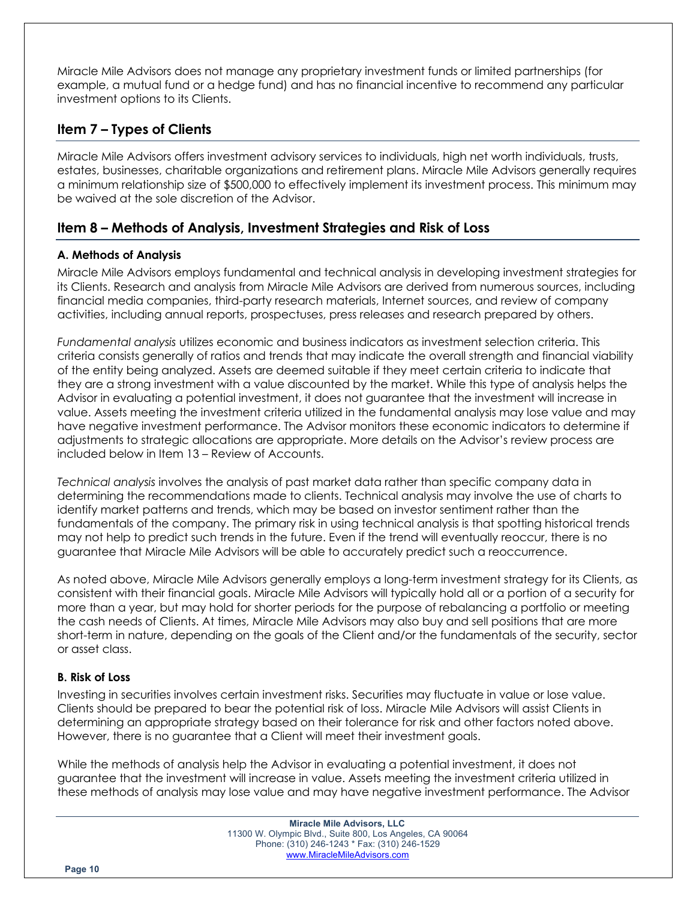Miracle Mile Advisors does not manage any proprietary investment funds or limited partnerships (for example, a mutual fund or a hedge fund) and has no financial incentive to recommend any particular investment options to its Clients.

# **Item 7 – Types of Clients**

Miracle Mile Advisors offers investment advisory services to individuals, high net worth individuals, trusts, estates, businesses, charitable organizations and retirement plans. Miracle Mile Advisors generally requires a minimum relationship size of \$500,000 to effectively implement its investment process. This minimum may be waived at the sole discretion of the Advisor.

# **Item 8 – Methods of Analysis, Investment Strategies and Risk of Loss**

## **A. Methods of Analysis**

Miracle Mile Advisors employs fundamental and technical analysis in developing investment strategies for its Clients. Research and analysis from Miracle Mile Advisors are derived from numerous sources, including financial media companies, third-party research materials, Internet sources, and review of company activities, including annual reports, prospectuses, press releases and research prepared by others.

*Fundamental analysis* utilizes economic and business indicators as investment selection criteria. This criteria consists generally of ratios and trends that may indicate the overall strength and financial viability of the entity being analyzed. Assets are deemed suitable if they meet certain criteria to indicate that they are a strong investment with a value discounted by the market. While this type of analysis helps the Advisor in evaluating a potential investment, it does not guarantee that the investment will increase in value. Assets meeting the investment criteria utilized in the fundamental analysis may lose value and may have negative investment performance. The Advisor monitors these economic indicators to determine if adjustments to strategic allocations are appropriate. More details on the Advisor's review process are included below in Item 13 – Review of Accounts.

*Technical analysis* involves the analysis of past market data rather than specific company data in determining the recommendations made to clients. Technical analysis may involve the use of charts to identify market patterns and trends, which may be based on investor sentiment rather than the fundamentals of the company. The primary risk in using technical analysis is that spotting historical trends may not help to predict such trends in the future. Even if the trend will eventually reoccur, there is no guarantee that Miracle Mile Advisors will be able to accurately predict such a reoccurrence.

As noted above, Miracle Mile Advisors generally employs a long-term investment strategy for its Clients, as consistent with their financial goals. Miracle Mile Advisors will typically hold all or a portion of a security for more than a year, but may hold for shorter periods for the purpose of rebalancing a portfolio or meeting the cash needs of Clients. At times, Miracle Mile Advisors may also buy and sell positions that are more short-term in nature, depending on the goals of the Client and/or the fundamentals of the security, sector or asset class.

## **B. Risk of Loss**

Investing in securities involves certain investment risks. Securities may fluctuate in value or lose value. Clients should be prepared to bear the potential risk of loss. Miracle Mile Advisors will assist Clients in determining an appropriate strategy based on their tolerance for risk and other factors noted above. However, there is no guarantee that a Client will meet their investment goals.

While the methods of analysis help the Advisor in evaluating a potential investment, it does not guarantee that the investment will increase in value. Assets meeting the investment criteria utilized in these methods of analysis may lose value and may have negative investment performance. The Advisor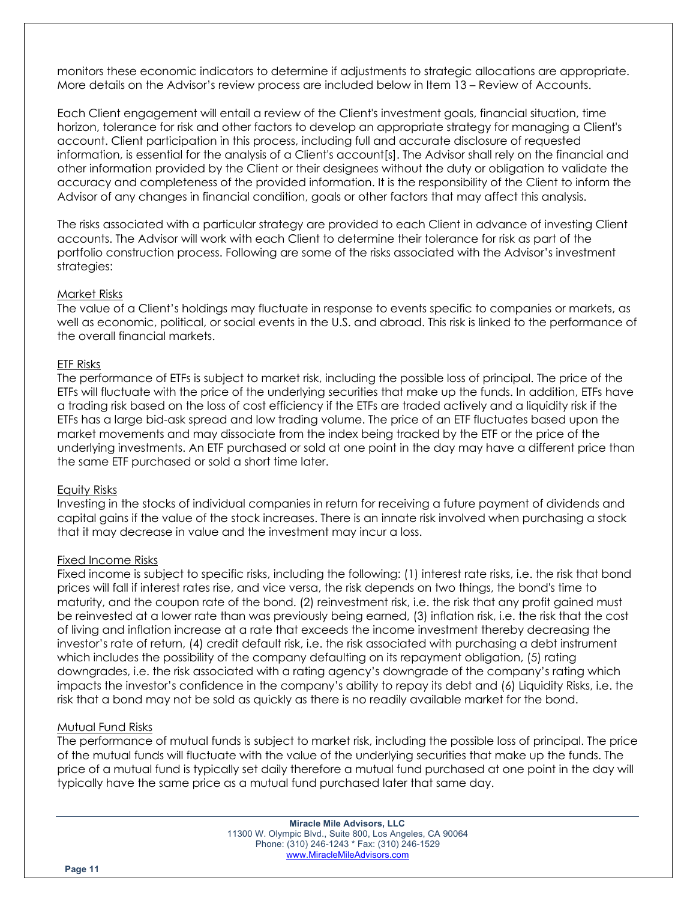monitors these economic indicators to determine if adjustments to strategic allocations are appropriate. More details on the Advisor's review process are included below in Item 13 – Review of Accounts.

Each Client engagement will entail a review of the Client's investment goals, financial situation, time horizon, tolerance for risk and other factors to develop an appropriate strategy for managing a Client's account. Client participation in this process, including full and accurate disclosure of requested information, is essential for the analysis of a Client's account[s]. The Advisor shall rely on the financial and other information provided by the Client or their designees without the duty or obligation to validate the accuracy and completeness of the provided information. It is the responsibility of the Client to inform the Advisor of any changes in financial condition, goals or other factors that may affect this analysis.

The risks associated with a particular strategy are provided to each Client in advance of investing Client accounts. The Advisor will work with each Client to determine their tolerance for risk as part of the portfolio construction process. Following are some of the risks associated with the Advisor's investment strategies:

#### Market Risks

The value of a Client's holdings may fluctuate in response to events specific to companies or markets, as well as economic, political, or social events in the U.S. and abroad. This risk is linked to the performance of the overall financial markets.

#### ETF Risks

The performance of ETFs is subject to market risk, including the possible loss of principal. The price of the ETFs will fluctuate with the price of the underlying securities that make up the funds. In addition, ETFs have a trading risk based on the loss of cost efficiency if the ETFs are traded actively and a liquidity risk if the ETFs has a large bid-ask spread and low trading volume. The price of an ETF fluctuates based upon the market movements and may dissociate from the index being tracked by the ETF or the price of the underlying investments. An ETF purchased or sold at one point in the day may have a different price than the same ETF purchased or sold a short time later.

#### Equity Risks

Investing in the stocks of individual companies in return for receiving a future payment of dividends and capital gains if the value of the stock increases. There is an innate risk involved when purchasing a stock that it may decrease in value and the investment may incur a loss.

#### Fixed Income Risks

Fixed income is subject to specific risks, including the following: (1) interest rate risks, i.e. the risk that bond prices will fall if interest rates rise, and vice versa, the risk depends on two things, the bond's time to maturity, and the coupon rate of the bond. (2) reinvestment risk, i.e. the risk that any profit gained must be reinvested at a lower rate than was previously being earned, (3) inflation risk, i.e. the risk that the cost of living and inflation increase at a rate that exceeds the income investment thereby decreasing the investor's rate of return, (4) credit default risk, i.e. the risk associated with purchasing a debt instrument which includes the possibility of the company defaulting on its repayment obligation, (5) rating downgrades, i.e. the risk associated with a rating agency's downgrade of the company's rating which impacts the investor's confidence in the company's ability to repay its debt and (6) Liquidity Risks, i.e. the risk that a bond may not be sold as quickly as there is no readily available market for the bond.

#### Mutual Fund Risks

The performance of mutual funds is subject to market risk, including the possible loss of principal. The price of the mutual funds will fluctuate with the value of the underlying securities that make up the funds. The price of a mutual fund is typically set daily therefore a mutual fund purchased at one point in the day will typically have the same price as a mutual fund purchased later that same day.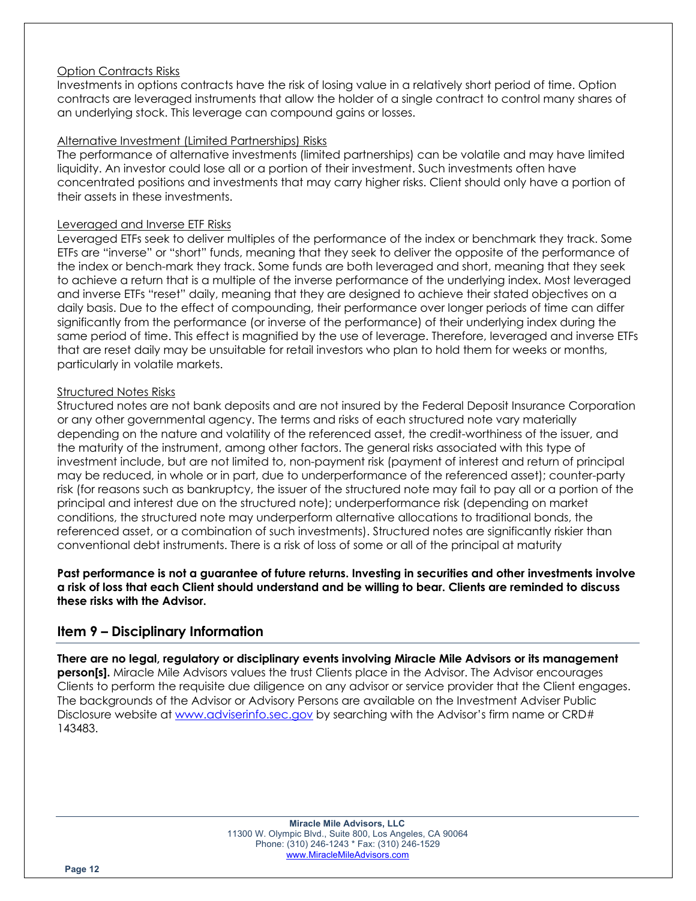#### Option Contracts Risks

Investments in options contracts have the risk of losing value in a relatively short period of time. Option contracts are leveraged instruments that allow the holder of a single contract to control many shares of an underlying stock. This leverage can compound gains or losses.

### Alternative Investment (Limited Partnerships) Risks

The performance of alternative investments (limited partnerships) can be volatile and may have limited liquidity. An investor could lose all or a portion of their investment. Such investments often have concentrated positions and investments that may carry higher risks. Client should only have a portion of their assets in these investments.

#### Leveraged and Inverse ETF Risks

Leveraged ETFs seek to deliver multiples of the performance of the index or benchmark they track. Some ETFs are "inverse" or "short" funds, meaning that they seek to deliver the opposite of the performance of the index or bench-mark they track. Some funds are both leveraged and short, meaning that they seek to achieve a return that is a multiple of the inverse performance of the underlying index. Most leveraged and inverse ETFs "reset" daily, meaning that they are designed to achieve their stated objectives on a daily basis. Due to the effect of compounding, their performance over longer periods of time can differ significantly from the performance (or inverse of the performance) of their underlying index during the same period of time. This effect is magnified by the use of leverage. Therefore, leveraged and inverse ETFs that are reset daily may be unsuitable for retail investors who plan to hold them for weeks or months, particularly in volatile markets.

#### Structured Notes Risks

Structured notes are not bank deposits and are not insured by the Federal Deposit Insurance Corporation or any other governmental agency. The terms and risks of each structured note vary materially depending on the nature and volatility of the referenced asset, the credit-worthiness of the issuer, and the maturity of the instrument, among other factors. The general risks associated with this type of investment include, but are not limited to, non-payment risk (payment of interest and return of principal may be reduced, in whole or in part, due to underperformance of the referenced asset); counter-party risk (for reasons such as bankruptcy, the issuer of the structured note may fail to pay all or a portion of the principal and interest due on the structured note); underperformance risk (depending on market conditions, the structured note may underperform alternative allocations to traditional bonds, the referenced asset, or a combination of such investments). Structured notes are significantly riskier than conventional debt instruments. There is a risk of loss of some or all of the principal at maturity

**Past performance is not a guarantee of future returns. Investing in securities and other investments involve a risk of loss that each Client should understand and be willing to bear. Clients are reminded to discuss these risks with the Advisor.**

## **Item 9 – Disciplinary Information**

**There are no legal, regulatory or disciplinary events involving Miracle Mile Advisors or its management person[s].** Miracle Mile Advisors values the trust Clients place in the Advisor. The Advisor encourages Clients to perform the requisite due diligence on any advisor or service provider that the Client engages. The backgrounds of the Advisor or Advisory Persons are available on the Investment Adviser Public Disclosure website at www.adviserinfo.sec.gov by searching with the Advisor's firm name or CRD# 143483.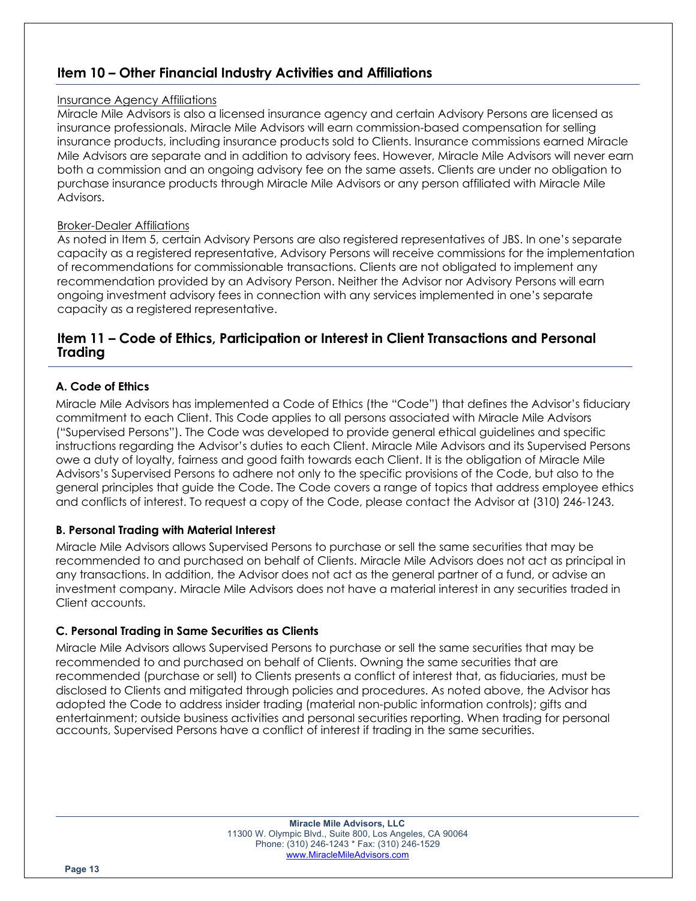# **Item 10 – Other Financial Industry Activities and Affiliations**

### Insurance Agency Affiliations

Miracle Mile Advisors is also a licensed insurance agency and certain Advisory Persons are licensed as insurance professionals. Miracle Mile Advisors will earn commission-based compensation for selling insurance products, including insurance products sold to Clients. Insurance commissions earned Miracle Mile Advisors are separate and in addition to advisory fees. However, Miracle Mile Advisors will never earn both a commission and an ongoing advisory fee on the same assets. Clients are under no obligation to purchase insurance products through Miracle Mile Advisors or any person affiliated with Miracle Mile Advisors.

## Broker-Dealer Affiliations

As noted in Item 5, certain Advisory Persons are also registered representatives of JBS. In one's separate capacity as a registered representative, Advisory Persons will receive commissions for the implementation of recommendations for commissionable transactions. Clients are not obligated to implement any recommendation provided by an Advisory Person. Neither the Advisor nor Advisory Persons will earn ongoing investment advisory fees in connection with any services implemented in one's separate capacity as a registered representative.

## **Item 11 – Code of Ethics, Participation or Interest in Client Transactions and Personal Trading**

## **A. Code of Ethics**

Miracle Mile Advisors has implemented a Code of Ethics (the "Code") that defines the Advisor's fiduciary commitment to each Client. This Code applies to all persons associated with Miracle Mile Advisors ("Supervised Persons"). The Code was developed to provide general ethical guidelines and specific instructions regarding the Advisor's duties to each Client. Miracle Mile Advisors and its Supervised Persons owe a duty of loyalty, fairness and good faith towards each Client. It is the obligation of Miracle Mile Advisors's Supervised Persons to adhere not only to the specific provisions of the Code, but also to the general principles that guide the Code. The Code covers a range of topics that address employee ethics and conflicts of interest. To request a copy of the Code, please contact the Advisor at (310) 246-1243.

## **B. Personal Trading with Material Interest**

Miracle Mile Advisors allows Supervised Persons to purchase or sell the same securities that may be recommended to and purchased on behalf of Clients. Miracle Mile Advisors does not act as principal in any transactions. In addition, the Advisor does not act as the general partner of a fund, or advise an investment company. Miracle Mile Advisors does not have a material interest in any securities traded in Client accounts.

## **C. Personal Trading in Same Securities as Clients**

Miracle Mile Advisors allows Supervised Persons to purchase or sell the same securities that may be recommended to and purchased on behalf of Clients. Owning the same securities that are recommended (purchase or sell) to Clients presents a conflict of interest that, as fiduciaries, must be disclosed to Clients and mitigated through policies and procedures. As noted above, the Advisor has adopted the Code to address insider trading (material non-public information controls); gifts and entertainment; outside business activities and personal securities reporting. When trading for personal accounts, Supervised Persons have a conflict of interest if trading in the same securities.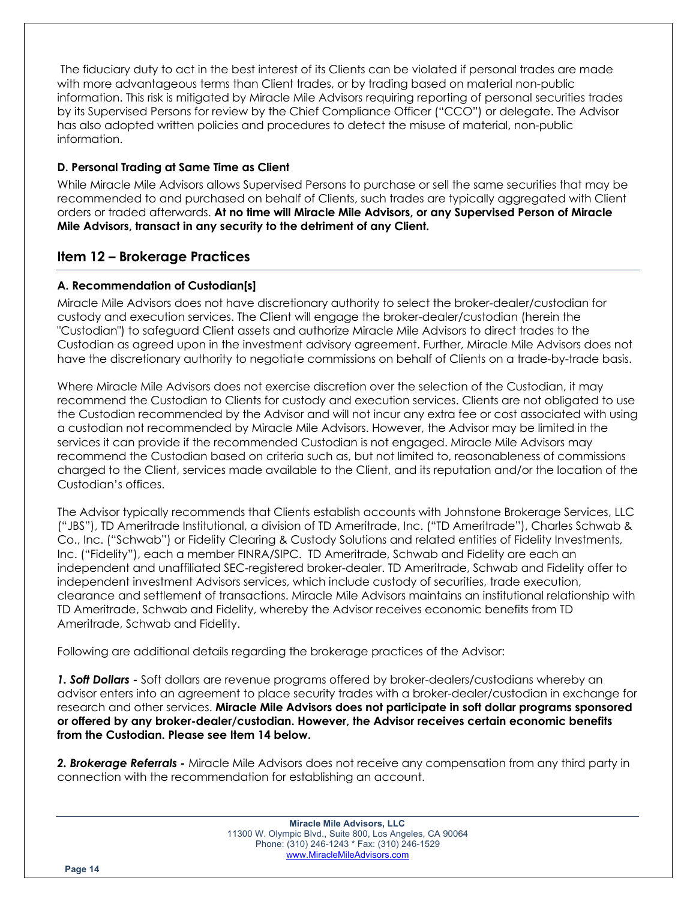The fiduciary duty to act in the best interest of its Clients can be violated if personal trades are made with more advantageous terms than Client trades, or by trading based on material non-public information. This risk is mitigated by Miracle Mile Advisors requiring reporting of personal securities trades by its Supervised Persons for review by the Chief Compliance Officer ("CCO") or delegate. The Advisor has also adopted written policies and procedures to detect the misuse of material, non-public information.

## **D. Personal Trading at Same Time as Client**

While Miracle Mile Advisors allows Supervised Persons to purchase or sell the same securities that may be recommended to and purchased on behalf of Clients, such trades are typically aggregated with Client orders or traded afterwards. **At no time will Miracle Mile Advisors, or any Supervised Person of Miracle Mile Advisors, transact in any security to the detriment of any Client.**

# **Item 12 – Brokerage Practices**

## **A. Recommendation of Custodian[s]**

Miracle Mile Advisors does not have discretionary authority to select the broker-dealer/custodian for custody and execution services. The Client will engage the broker-dealer/custodian (herein the "Custodian") to safeguard Client assets and authorize Miracle Mile Advisors to direct trades to the Custodian as agreed upon in the investment advisory agreement. Further, Miracle Mile Advisors does not have the discretionary authority to negotiate commissions on behalf of Clients on a trade-by-trade basis.

Where Miracle Mile Advisors does not exercise discretion over the selection of the Custodian, it may recommend the Custodian to Clients for custody and execution services. Clients are not obligated to use the Custodian recommended by the Advisor and will not incur any extra fee or cost associated with using a custodian not recommended by Miracle Mile Advisors. However, the Advisor may be limited in the services it can provide if the recommended Custodian is not engaged. Miracle Mile Advisors may recommend the Custodian based on criteria such as, but not limited to, reasonableness of commissions charged to the Client, services made available to the Client, and its reputation and/or the location of the Custodian's offices.

The Advisor typically recommends that Clients establish accounts with Johnstone Brokerage Services, LLC ("JBS"), TD Ameritrade Institutional, a division of TD Ameritrade, Inc. ("TD Ameritrade"), Charles Schwab & Co., Inc. ("Schwab") or Fidelity Clearing & Custody Solutions and related entities of Fidelity Investments, Inc. ("Fidelity"), each a member FINRA/SIPC. TD Ameritrade, Schwab and Fidelity are each an independent and unaffiliated SEC-registered broker-dealer. TD Ameritrade, Schwab and Fidelity offer to independent investment Advisors services, which include custody of securities, trade execution, clearance and settlement of transactions. Miracle Mile Advisors maintains an institutional relationship with TD Ameritrade, Schwab and Fidelity, whereby the Advisor receives economic benefits from TD Ameritrade, Schwab and Fidelity.

Following are additional details regarding the brokerage practices of the Advisor:

*1. Soft Dollars -* Soft dollars are revenue programs offered by broker-dealers/custodians whereby an advisor enters into an agreement to place security trades with a broker-dealer/custodian in exchange for research and other services. **Miracle Mile Advisors does not participate in soft dollar programs sponsored or offered by any broker-dealer/custodian. However, the Advisor receives certain economic benefits from the Custodian. Please see Item 14 below.**

*2. Brokerage Referrals -* Miracle Mile Advisors does not receive any compensation from any third party in connection with the recommendation for establishing an account.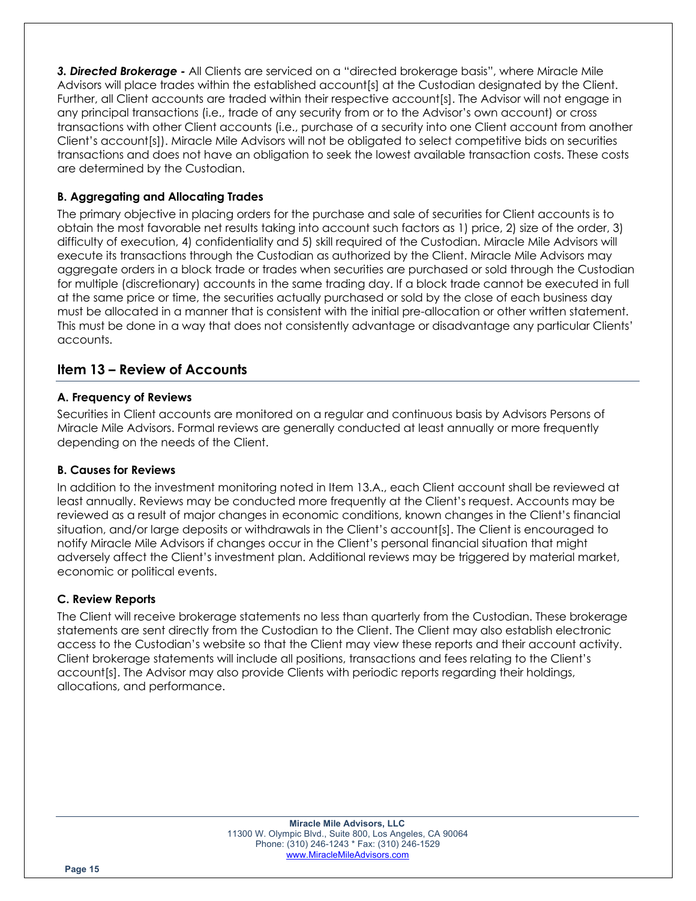*3. Directed Brokerage -* All Clients are serviced on a "directed brokerage basis", where Miracle Mile Advisors will place trades within the established account[s] at the Custodian designated by the Client. Further, all Client accounts are traded within their respective account[s]. The Advisor will not engage in any principal transactions (i.e., trade of any security from or to the Advisor's own account) or cross transactions with other Client accounts (i.e., purchase of a security into one Client account from another Client's account[s]). Miracle Mile Advisors will not be obligated to select competitive bids on securities transactions and does not have an obligation to seek the lowest available transaction costs. These costs are determined by the Custodian.

## **B. Aggregating and Allocating Trades**

The primary objective in placing orders for the purchase and sale of securities for Client accounts is to obtain the most favorable net results taking into account such factors as 1) price, 2) size of the order, 3) difficulty of execution, 4) confidentiality and 5) skill required of the Custodian. Miracle Mile Advisors will execute its transactions through the Custodian as authorized by the Client. Miracle Mile Advisors may aggregate orders in a block trade or trades when securities are purchased or sold through the Custodian for multiple (discretionary) accounts in the same trading day. If a block trade cannot be executed in full at the same price or time, the securities actually purchased or sold by the close of each business day must be allocated in a manner that is consistent with the initial pre-allocation or other written statement. This must be done in a way that does not consistently advantage or disadvantage any particular Clients' accounts.

# **Item 13 – Review of Accounts**

## **A. Frequency of Reviews**

Securities in Client accounts are monitored on a regular and continuous basis by Advisors Persons of Miracle Mile Advisors. Formal reviews are generally conducted at least annually or more frequently depending on the needs of the Client.

## **B. Causes for Reviews**

In addition to the investment monitoring noted in Item 13.A., each Client account shall be reviewed at least annually. Reviews may be conducted more frequently at the Client's request. Accounts may be reviewed as a result of major changes in economic conditions, known changes in the Client's financial situation, and/or large deposits or withdrawals in the Client's account[s]. The Client is encouraged to notify Miracle Mile Advisors if changes occur in the Client's personal financial situation that might adversely affect the Client's investment plan. Additional reviews may be triggered by material market, economic or political events.

## **C. Review Reports**

The Client will receive brokerage statements no less than quarterly from the Custodian. These brokerage statements are sent directly from the Custodian to the Client. The Client may also establish electronic access to the Custodian's website so that the Client may view these reports and their account activity. Client brokerage statements will include all positions, transactions and fees relating to the Client's account[s]. The Advisor may also provide Clients with periodic reports regarding their holdings, allocations, and performance.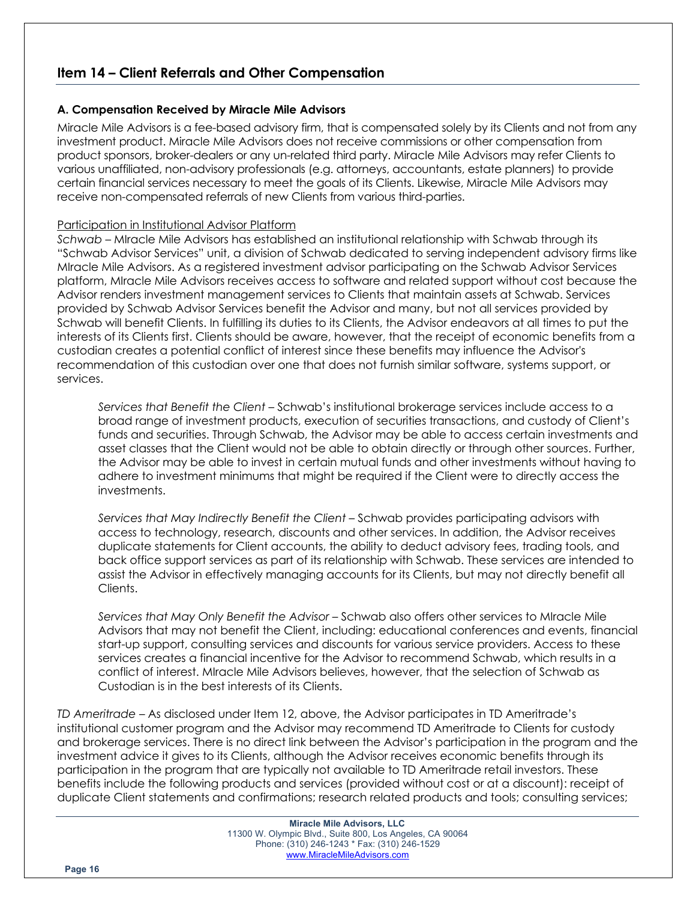# **Item 14 – Client Referrals and Other Compensation**

## **A. Compensation Received by Miracle Mile Advisors**

Miracle Mile Advisors is a fee-based advisory firm, that is compensated solely by its Clients and not from any investment product. Miracle Mile Advisors does not receive commissions or other compensation from product sponsors, broker-dealers or any un-related third party. Miracle Mile Advisors may refer Clients to various unaffiliated, non-advisory professionals (e.g. attorneys, accountants, estate planners) to provide certain financial services necessary to meet the goals of its Clients. Likewise, Miracle Mile Advisors may receive non-compensated referrals of new Clients from various third-parties.

## Participation in Institutional Advisor Platform

*Schwab –* MIracle Mile Advisors has established an institutional relationship with Schwab through its "Schwab Advisor Services" unit, a division of Schwab dedicated to serving independent advisory firms like MIracle Mile Advisors. As a registered investment advisor participating on the Schwab Advisor Services platform, MIracle Mile Advisors receives access to software and related support without cost because the Advisor renders investment management services to Clients that maintain assets at Schwab. Services provided by Schwab Advisor Services benefit the Advisor and many, but not all services provided by Schwab will benefit Clients. In fulfilling its duties to its Clients, the Advisor endeavors at all times to put the interests of its Clients first. Clients should be aware, however, that the receipt of economic benefits from a custodian creates a potential conflict of interest since these benefits may influence the Advisor's recommendation of this custodian over one that does not furnish similar software, systems support, or services.

*Services that Benefit the Client* – Schwab's institutional brokerage services include access to a broad range of investment products, execution of securities transactions, and custody of Client's funds and securities. Through Schwab, the Advisor may be able to access certain investments and asset classes that the Client would not be able to obtain directly or through other sources. Further, the Advisor may be able to invest in certain mutual funds and other investments without having to adhere to investment minimums that might be required if the Client were to directly access the investments.

*Services that May Indirectly Benefit the Client* – Schwab provides participating advisors with access to technology, research, discounts and other services. In addition, the Advisor receives duplicate statements for Client accounts, the ability to deduct advisory fees, trading tools, and back office support services as part of its relationship with Schwab. These services are intended to assist the Advisor in effectively managing accounts for its Clients, but may not directly benefit all Clients.

*Services that May Only Benefit the Advisor* – Schwab also offers other services to MIracle Mile Advisors that may not benefit the Client, including: educational conferences and events, financial start-up support, consulting services and discounts for various service providers. Access to these services creates a financial incentive for the Advisor to recommend Schwab, which results in a conflict of interest. MIracle Mile Advisors believes, however, that the selection of Schwab as Custodian is in the best interests of its Clients.

*TD Ameritrade –* As disclosed under Item 12, above, the Advisor participates in TD Ameritrade's institutional customer program and the Advisor may recommend TD Ameritrade to Clients for custody and brokerage services. There is no direct link between the Advisor's participation in the program and the investment advice it gives to its Clients, although the Advisor receives economic benefits through its participation in the program that are typically not available to TD Ameritrade retail investors. These benefits include the following products and services (provided without cost or at a discount): receipt of duplicate Client statements and confirmations; research related products and tools; consulting services;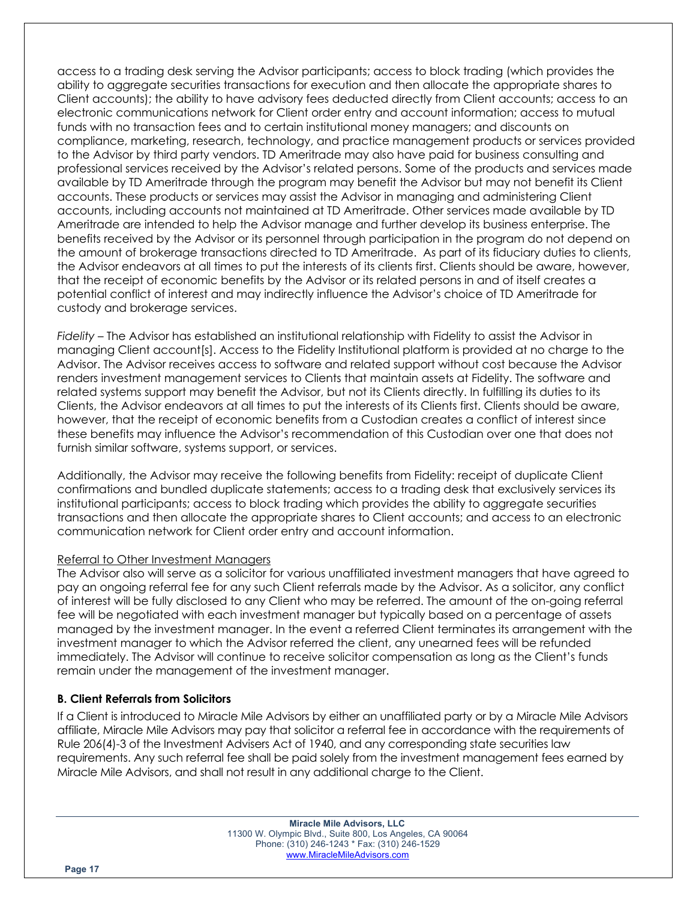access to a trading desk serving the Advisor participants; access to block trading (which provides the ability to aggregate securities transactions for execution and then allocate the appropriate shares to Client accounts); the ability to have advisory fees deducted directly from Client accounts; access to an electronic communications network for Client order entry and account information; access to mutual funds with no transaction fees and to certain institutional money managers; and discounts on compliance, marketing, research, technology, and practice management products or services provided to the Advisor by third party vendors. TD Ameritrade may also have paid for business consulting and professional services received by the Advisor's related persons. Some of the products and services made available by TD Ameritrade through the program may benefit the Advisor but may not benefit its Client accounts. These products or services may assist the Advisor in managing and administering Client accounts, including accounts not maintained at TD Ameritrade. Other services made available by TD Ameritrade are intended to help the Advisor manage and further develop its business enterprise. The benefits received by the Advisor or its personnel through participation in the program do not depend on the amount of brokerage transactions directed to TD Ameritrade. As part of its fiduciary duties to clients, the Advisor endeavors at all times to put the interests of its clients first. Clients should be aware, however, that the receipt of economic benefits by the Advisor or its related persons in and of itself creates a potential conflict of interest and may indirectly influence the Advisor's choice of TD Ameritrade for custody and brokerage services.

*Fidelity –* The Advisor has established an institutional relationship with Fidelity to assist the Advisor in managing Client account[s]. Access to the Fidelity Institutional platform is provided at no charge to the Advisor. The Advisor receives access to software and related support without cost because the Advisor renders investment management services to Clients that maintain assets at Fidelity. The software and related systems support may benefit the Advisor, but not its Clients directly. In fulfilling its duties to its Clients, the Advisor endeavors at all times to put the interests of its Clients first. Clients should be aware, however, that the receipt of economic benefits from a Custodian creates a conflict of interest since these benefits may influence the Advisor's recommendation of this Custodian over one that does not furnish similar software, systems support, or services.

Additionally, the Advisor may receive the following benefits from Fidelity: receipt of duplicate Client confirmations and bundled duplicate statements; access to a trading desk that exclusively services its institutional participants; access to block trading which provides the ability to aggregate securities transactions and then allocate the appropriate shares to Client accounts; and access to an electronic communication network for Client order entry and account information.

#### Referral to Other Investment Managers

The Advisor also will serve as a solicitor for various unaffiliated investment managers that have agreed to pay an ongoing referral fee for any such Client referrals made by the Advisor. As a solicitor, any conflict of interest will be fully disclosed to any Client who may be referred. The amount of the on-going referral fee will be negotiated with each investment manager but typically based on a percentage of assets managed by the investment manager. In the event a referred Client terminates its arrangement with the investment manager to which the Advisor referred the client, any unearned fees will be refunded immediately. The Advisor will continue to receive solicitor compensation as long as the Client's funds remain under the management of the investment manager.

## **B. Client Referrals from Solicitors**

If a Client is introduced to Miracle Mile Advisors by either an unaffiliated party or by a Miracle Mile Advisors affiliate, Miracle Mile Advisors may pay that solicitor a referral fee in accordance with the requirements of Rule 206(4)-3 of the Investment Advisers Act of 1940, and any corresponding state securities law requirements. Any such referral fee shall be paid solely from the investment management fees earned by Miracle Mile Advisors, and shall not result in any additional charge to the Client.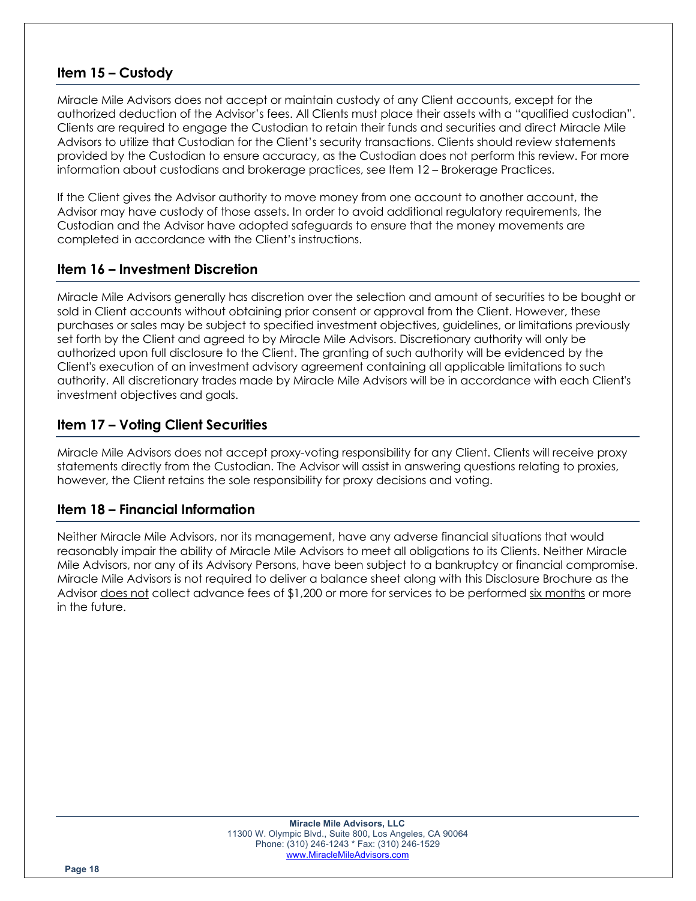# **Item 15 – Custody**

Miracle Mile Advisors does not accept or maintain custody of any Client accounts, except for the authorized deduction of the Advisor's fees. All Clients must place their assets with a "qualified custodian". Clients are required to engage the Custodian to retain their funds and securities and direct Miracle Mile Advisors to utilize that Custodian for the Client's security transactions. Clients should review statements provided by the Custodian to ensure accuracy, as the Custodian does not perform this review. For more information about custodians and brokerage practices, see Item 12 – Brokerage Practices.

If the Client gives the Advisor authority to move money from one account to another account, the Advisor may have custody of those assets. In order to avoid additional regulatory requirements, the Custodian and the Advisor have adopted safeguards to ensure that the money movements are completed in accordance with the Client's instructions.

## **Item 16 – Investment Discretion**

Miracle Mile Advisors generally has discretion over the selection and amount of securities to be bought or sold in Client accounts without obtaining prior consent or approval from the Client. However, these purchases or sales may be subject to specified investment objectives, guidelines, or limitations previously set forth by the Client and agreed to by Miracle Mile Advisors. Discretionary authority will only be authorized upon full disclosure to the Client. The granting of such authority will be evidenced by the Client's execution of an investment advisory agreement containing all applicable limitations to such authority. All discretionary trades made by Miracle Mile Advisors will be in accordance with each Client's investment objectives and goals.

# **Item 17 – Voting Client Securities**

Miracle Mile Advisors does not accept proxy-voting responsibility for any Client. Clients will receive proxy statements directly from the Custodian. The Advisor will assist in answering questions relating to proxies, however, the Client retains the sole responsibility for proxy decisions and voting.

## **Item 18 – Financial Information**

Neither Miracle Mile Advisors, nor its management, have any adverse financial situations that would reasonably impair the ability of Miracle Mile Advisors to meet all obligations to its Clients. Neither Miracle Mile Advisors, nor any of its Advisory Persons, have been subject to a bankruptcy or financial compromise. Miracle Mile Advisors is not required to deliver a balance sheet along with this Disclosure Brochure as the Advisor does not collect advance fees of \$1,200 or more for services to be performed six months or more in the future.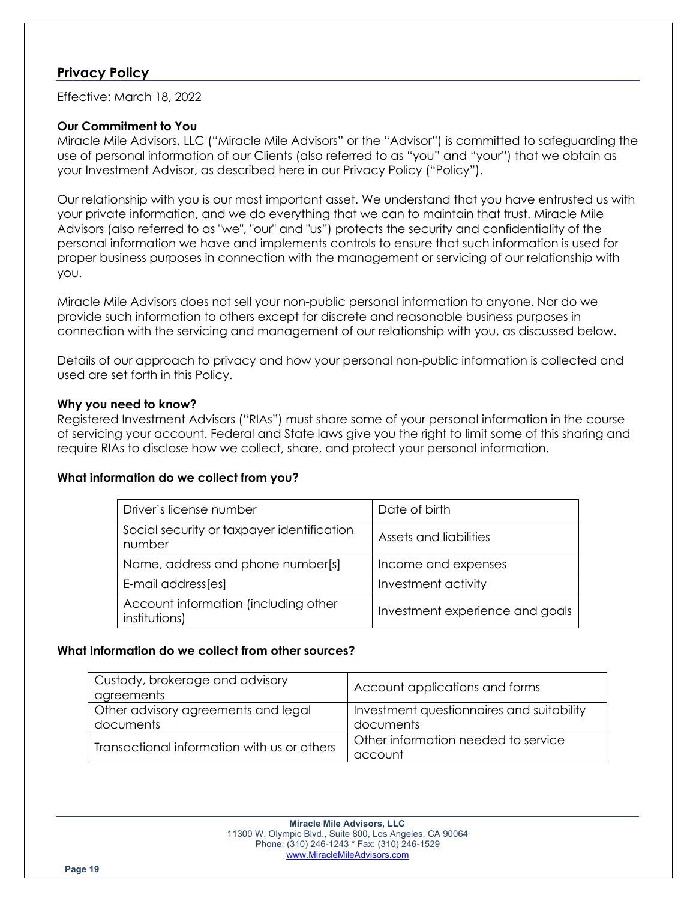## **Privacy Policy**

Effective: March 18, 2022

## **Our Commitment to You**

Miracle Mile Advisors, LLC ("Miracle Mile Advisors" or the "Advisor") is committed to safeguarding the use of personal information of our Clients (also referred to as "you" and "your") that we obtain as your Investment Advisor, as described here in our Privacy Policy ("Policy").

Our relationship with you is our most important asset. We understand that you have entrusted us with your private information, and we do everything that we can to maintain that trust. Miracle Mile Advisors (also referred to as "we", "our" and "us") protects the security and confidentiality of the personal information we have and implements controls to ensure that such information is used for proper business purposes in connection with the management or servicing of our relationship with you.

Miracle Mile Advisors does not sell your non-public personal information to anyone. Nor do we provide such information to others except for discrete and reasonable business purposes in connection with the servicing and management of our relationship with you, as discussed below.

Details of our approach to privacy and how your personal non-public information is collected and used are set forth in this Policy.

## **Why you need to know?**

Registered Investment Advisors ("RIAs") must share some of your personal information in the course of servicing your account. Federal and State laws give you the right to limit some of this sharing and require RIAs to disclose how we collect, share, and protect your personal information.

#### **What information do we collect from you?**

| Driver's license number                               | Date of birth                   |
|-------------------------------------------------------|---------------------------------|
| Social security or taxpayer identification<br>number  | Assets and liabilities          |
| Name, address and phone number[s]                     | Income and expenses             |
| E-mail address[es]                                    | Investment activity             |
| Account information (including other<br>institutions) | Investment experience and goals |

#### **What Information do we collect from other sources?**

| Custody, brokerage and advisory<br>agreements    | Account applications and forms                         |
|--------------------------------------------------|--------------------------------------------------------|
| Other advisory agreements and legal<br>documents | Investment questionnaires and suitability<br>documents |
| Transactional information with us or others      | Other information needed to service<br>account         |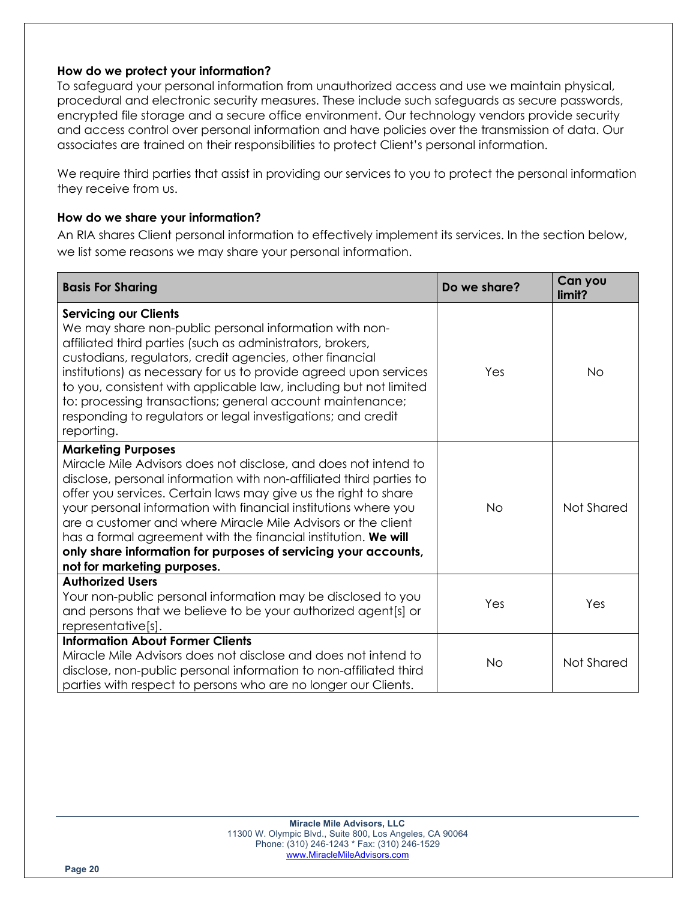## **How do we protect your information?**

To safeguard your personal information from unauthorized access and use we maintain physical, procedural and electronic security measures. These include such safeguards as secure passwords, encrypted file storage and a secure office environment. Our technology vendors provide security and access control over personal information and have policies over the transmission of data. Our associates are trained on their responsibilities to protect Client's personal information.

We require third parties that assist in providing our services to you to protect the personal information they receive from us.

## **How do we share your information?**

An RIA shares Client personal information to effectively implement its services. In the section below, we list some reasons we may share your personal information.

| <b>Basis For Sharing</b>                                                                                                                                                                                                                                                                                                                                                                                                                                                                                                                      | Do we share? | Can you<br>limit? |
|-----------------------------------------------------------------------------------------------------------------------------------------------------------------------------------------------------------------------------------------------------------------------------------------------------------------------------------------------------------------------------------------------------------------------------------------------------------------------------------------------------------------------------------------------|--------------|-------------------|
| <b>Servicing our Clients</b><br>We may share non-public personal information with non-<br>affiliated third parties (such as administrators, brokers,<br>custodians, regulators, credit agencies, other financial<br>institutions) as necessary for us to provide agreed upon services<br>to you, consistent with applicable law, including but not limited<br>to: processing transactions; general account maintenance;<br>responding to regulators or legal investigations; and credit<br>reporting.                                         | Yes          | <b>No</b>         |
| <b>Marketing Purposes</b><br>Miracle Mile Advisors does not disclose, and does not intend to<br>disclose, personal information with non-affiliated third parties to<br>offer you services. Certain laws may give us the right to share<br>your personal information with financial institutions where you<br>are a customer and where Miracle Mile Advisors or the client<br>has a formal agreement with the financial institution. We will<br>only share information for purposes of servicing your accounts,<br>not for marketing purposes. | <b>No</b>    | Not Shared        |
| <b>Authorized Users</b><br>Your non-public personal information may be disclosed to you<br>and persons that we believe to be your authorized agent[s] or<br>representative[s].                                                                                                                                                                                                                                                                                                                                                                | Yes          | Yes               |
| <b>Information About Former Clients</b><br>Miracle Mile Advisors does not disclose and does not intend to<br>disclose, non-public personal information to non-affiliated third<br>parties with respect to persons who are no longer our Clients.                                                                                                                                                                                                                                                                                              | <b>No</b>    | Not Shared        |